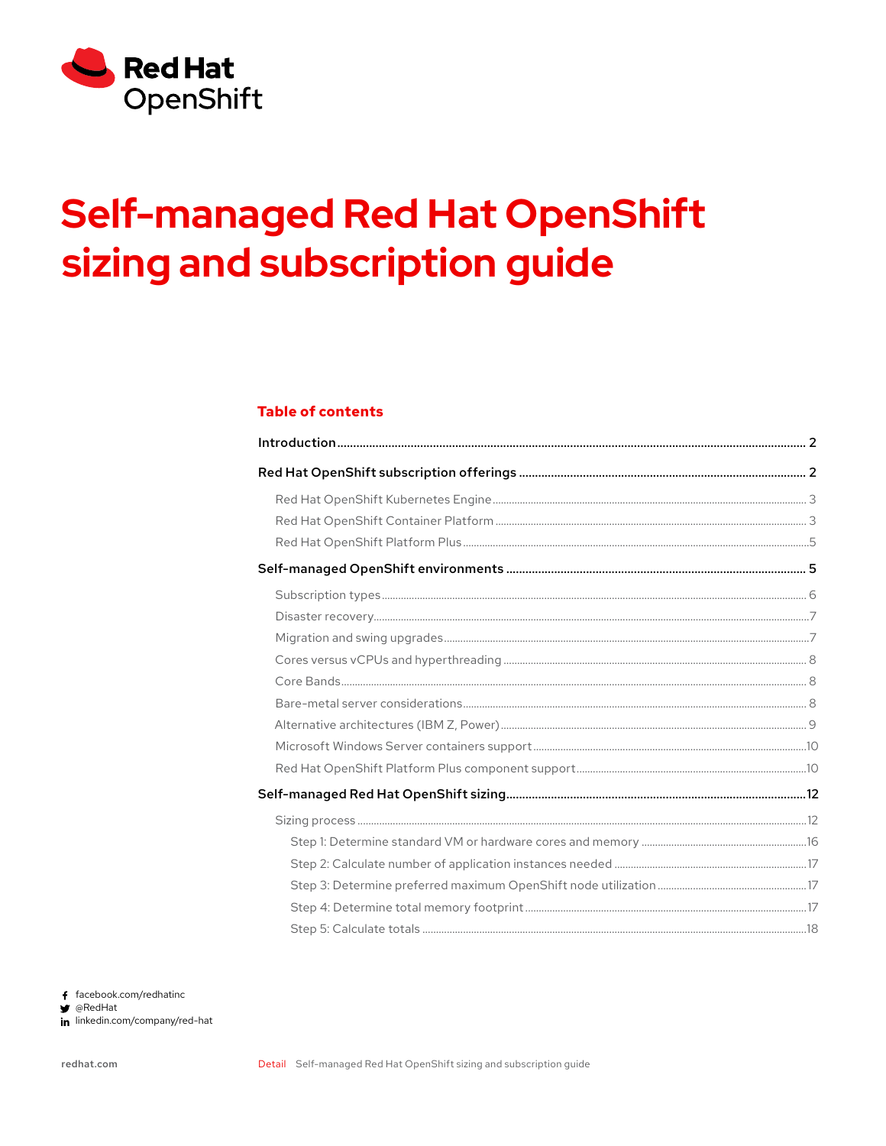

# **Self-managed Red Hat OpenShift** sizing and subscription guide

## **Table of contents**

f facebook.com/redhatinc  $\blacktriangleright$  @RedHat in linkedin.com/company/red-hat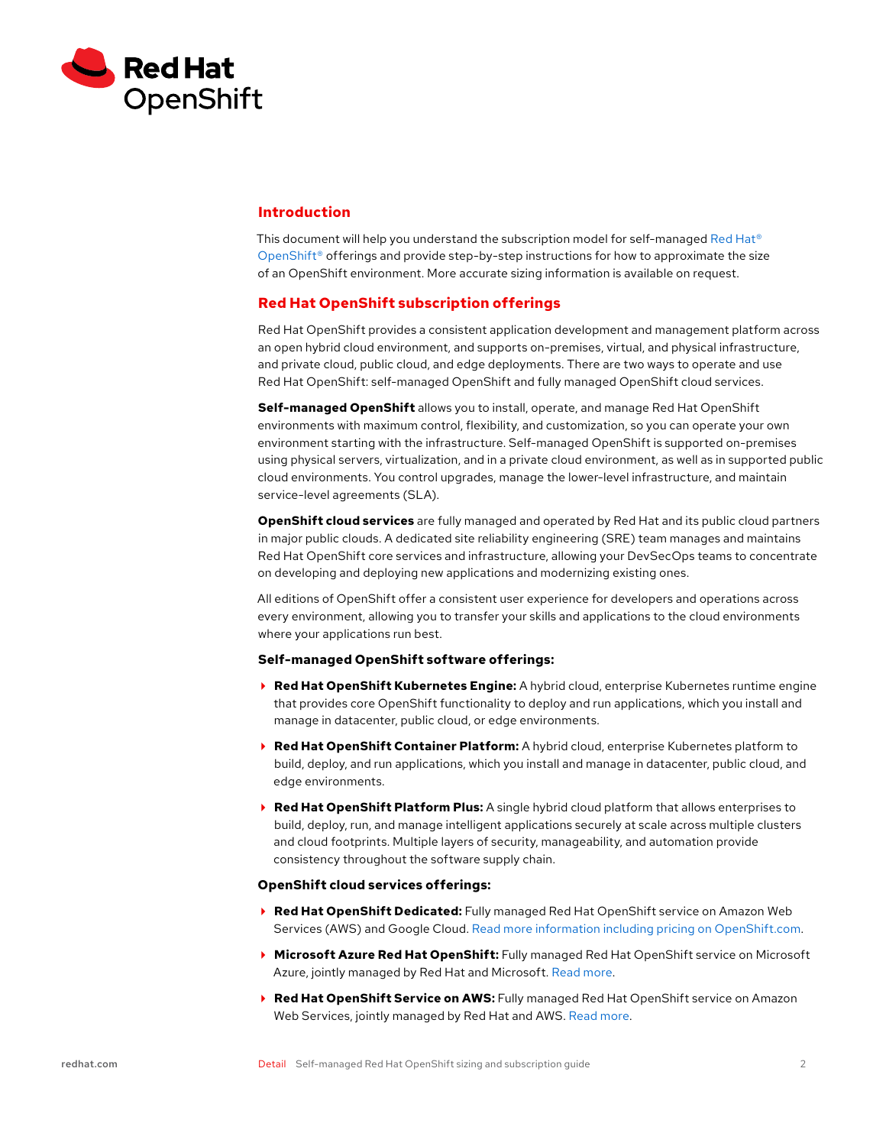<span id="page-1-0"></span>

## **Introduction**

This document will help you understand the subscription model for self-managed Red Hat® OpenShift<sup>®</sup> offerings and provide step-by-step instructions for how to approximate the size of an OpenShift environment. More accurate sizing information is available on request.

## **Red Hat OpenShift subscription offerings**

Red Hat OpenShift provides a consistent application development and management platform across an open hybrid cloud environment, and supports on-premises, virtual, and physical infrastructure, and private cloud, public cloud, and edge deployments. There are two ways to operate and use Red Hat OpenShift: self-managed OpenShift and fully managed OpenShift cloud services.

**Self-managed OpenShift** allows you to install, operate, and manage Red Hat OpenShift environments with maximum control, flexibility, and customization, so you can operate your own environment starting with the infrastructure. Self-managed OpenShift is supported on-premises using physical servers, virtualization, and in a private cloud environment, as well as in supported public cloud environments. You control upgrades, manage the lower-level infrastructure, and maintain service-level agreements (SLA).

**OpenShift cloud services** are fully managed and operated by Red Hat and its public cloud partners in major public clouds. A dedicated site reliability engineering (SRE) team manages and maintains Red Hat OpenShift core services and infrastructure, allowing your DevSecOps teams to concentrate on developing and deploying new applications and modernizing existing ones.

All editions of OpenShift offer a consistent user experience for developers and operations across every environment, allowing you to transfer your skills and applications to the cloud environments where your applications run best.

#### **Self-managed OpenShift software offerings:**

- **Red Hat OpenShift Kubernetes Engine:** A hybrid cloud, enterprise Kubernetes runtime engine that provides core OpenShift functionality to deploy and run applications, which you install and manage in datacenter, public cloud, or edge environments.
- **Red Hat OpenShift Container Platform:** A hybrid cloud, enterprise Kubernetes platform to build, deploy, and run applications, which you install and manage in datacenter, public cloud, and edge environments.
- **Red Hat OpenShift Platform Plus:** A single hybrid cloud platform that allows enterprises to build, deploy, run, and manage intelligent applications securely at scale across multiple clusters and cloud footprints. Multiple layers of security, manageability, and automation provide consistency throughout the software supply chain.

#### **OpenShift cloud services offerings:**

- **Red Hat OpenShift Dedicated:** Fully managed Red Hat OpenShift service on Amazon Web Services (AWS) and Google Cloud. [Read more information including pricing on OpenShift.com.](https://www.redhat.com/en/technologies/cloud-computing/openshift/dedicated)
- **Microsoft Azure Red Hat OpenShift:** Fully managed Red Hat OpenShift service on Microsoft Azure, jointly managed by Red Hat and Microsoft. [Read more](https://www.redhat.com/en/technologies/cloud-computing/openshift/azure).
- **Red Hat OpenShift Service on AWS:** Fully managed Red Hat OpenShift service on Amazon Web Services, jointly managed by Red Hat and AWS. [Read more](https://www.redhat.com/en/technologies/cloud-computing/openshift/aws).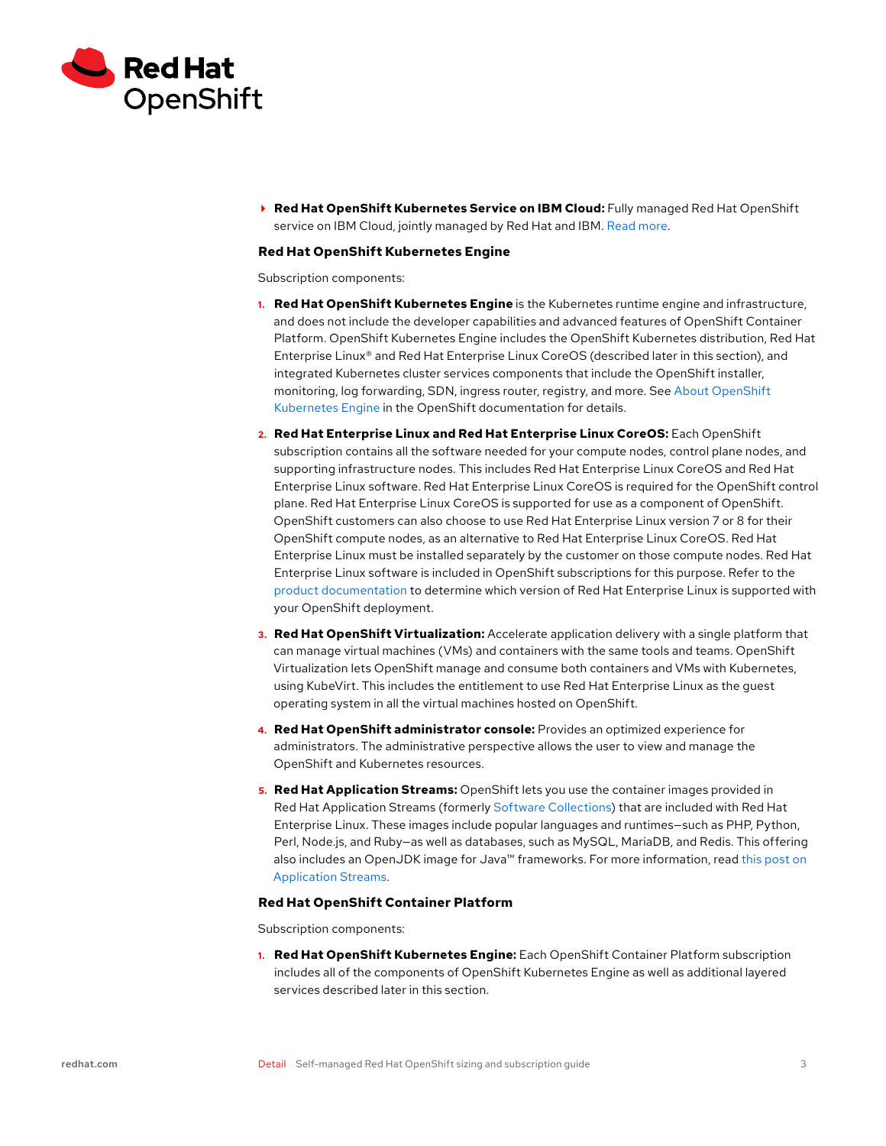<span id="page-2-0"></span>

 **Red Hat OpenShift Kubernetes Service on IBM Cloud:** Fully managed Red Hat OpenShift service on IBM Cloud, jointly managed by Red Hat and IBM. [Read more](https://www.redhat.com/en/technologies/cloud-computing/openshift/ibm).

#### **Red Hat OpenShift Kubernetes Engine**

Subscription components:

- **1. Red Hat OpenShift Kubernetes Engine** is the Kubernetes runtime engine and infrastructure, and does not include the developer capabilities and advanced features of OpenShift Container Platform. OpenShift Kubernetes Engine includes the OpenShift Kubernetes distribution, Red Hat Enterprise Linux® and Red Hat Enterprise Linux CoreOS (described later in this section), and integrated Kubernetes cluster services components that include the OpenShift installer, monitoring, log forwarding, SDN, ingress router, registry, and more. See [About OpenShift](https://docs.openshift.com/container-platform/4.10/welcome/oke_about.html)  [Kubernetes Engine](https://docs.openshift.com/container-platform/4.10/welcome/oke_about.html) in the OpenShift documentation for details.
- **2. Red Hat Enterprise Linux and Red Hat Enterprise Linux CoreOS:** Each OpenShift subscription contains all the software needed for your compute nodes, control plane nodes, and supporting infrastructure nodes. This includes Red Hat Enterprise Linux CoreOS and Red Hat Enterprise Linux software. Red Hat Enterprise Linux CoreOS is required for the OpenShift control plane. Red Hat Enterprise Linux CoreOS is supported for use as a component of OpenShift. OpenShift customers can also choose to use Red Hat Enterprise Linux version 7 or 8 for their OpenShift compute nodes, as an alternative to Red Hat Enterprise Linux CoreOS. Red Hat Enterprise Linux must be installed separately by the customer on those compute nodes. Red Hat Enterprise Linux software is included in OpenShift subscriptions for this purpose. Refer to the [product documentation](https://docs.openshift.com/container-platform/4.10/machine_management/adding-rhel-compute.html) to determine which version of Red Hat Enterprise Linux is supported with your OpenShift deployment.
- **3. Red Hat OpenShift Virtualization:** Accelerate application delivery with a single platform that can manage virtual machines (VMs) and containers with the same tools and teams. OpenShift Virtualization lets OpenShift manage and consume both containers and VMs with Kubernetes, using KubeVirt. This includes the entitlement to use Red Hat Enterprise Linux as the guest operating system in all the virtual machines hosted on OpenShift.
- **4. Red Hat OpenShift administrator console:** Provides an optimized experience for administrators. The administrative perspective allows the user to view and manage the OpenShift and Kubernetes resources.
- **5. Red Hat Application Streams:** OpenShift lets you use the container images provided in Red Hat Application Streams (formerly [Software Collections](https://www.redhat.com/en/resources/red-hat-software-collections)) that are included with Red Hat Enterprise Linux. These images include popular languages and runtimes—such as PHP, Python, Perl, Node.js, and Ruby—as well as databases, such as MySQL, MariaDB, and Redis. This offering also includes an OpenJDK image for Java™ frameworks. For more information, read [this post on](https://www.redhat.com/en/blog/introduction-appstreams-and-modules-red-hat-enterprise-linux)  [Application Streams](https://www.redhat.com/en/blog/introduction-appstreams-and-modules-red-hat-enterprise-linux).

#### **Red Hat OpenShift Container Platform**

Subscription components:

**1. Red Hat OpenShift Kubernetes Engine:** Each OpenShift Container Platform subscription includes all of the components of OpenShift Kubernetes Engine as well as additional layered services described later in this section.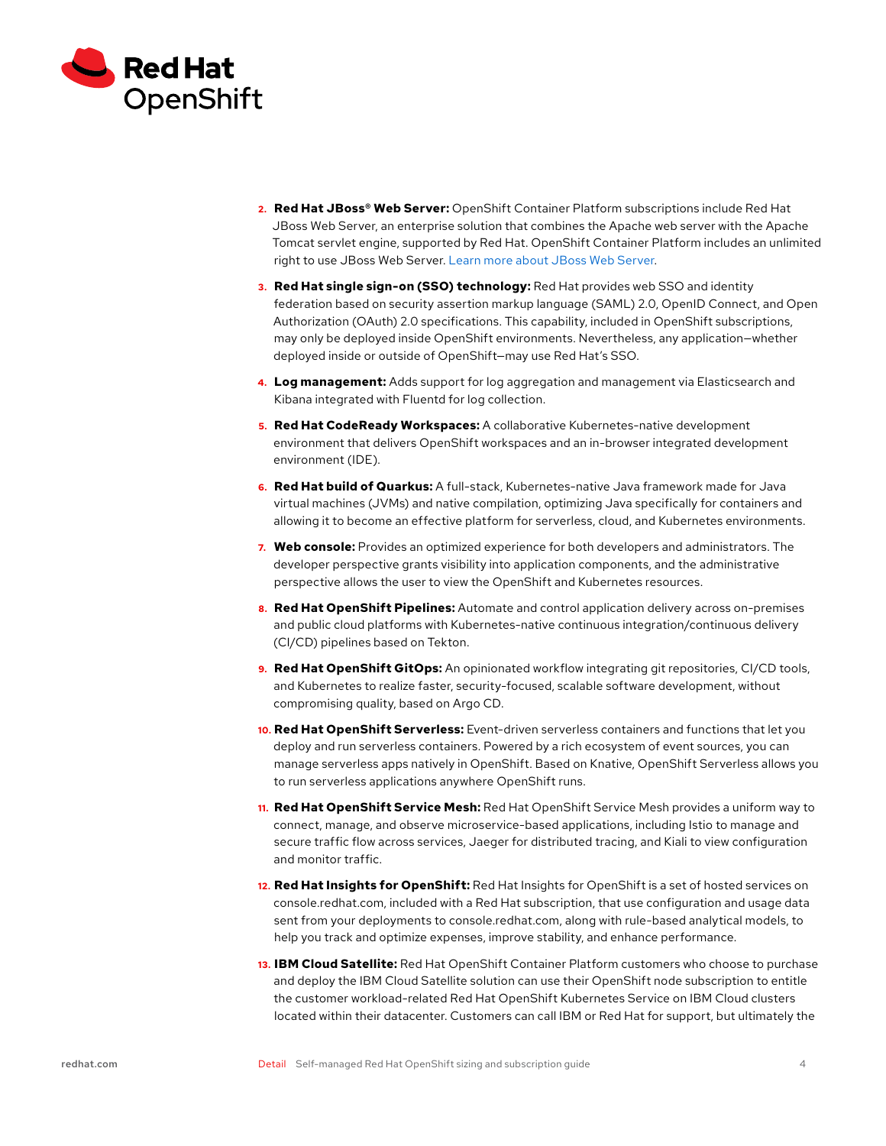

- **2. Red Hat JBoss® Web Server:** OpenShift Container Platform subscriptions include Red Hat JBoss Web Server, an enterprise solution that combines the Apache web server with the Apache Tomcat servlet engine, supported by Red Hat. OpenShift Container Platform includes an unlimited right to use JBoss Web Server. [Learn more about JBoss Web Server](https://www.redhat.com/en/technologies/jboss-middleware/web-server).
- **3. Red Hat single sign-on (SSO) technology:** Red Hat provides web SSO and identity federation based on security assertion markup language (SAML) 2.0, OpenID Connect, and Open Authorization (OAuth) 2.0 specifications. This capability, included in OpenShift subscriptions, may only be deployed inside OpenShift environments. Nevertheless, any application—whether deployed inside or outside of OpenShift—may use Red Hat's SSO.
- **4. Log management:** Adds support for log aggregation and management via Elasticsearch and Kibana integrated with Fluentd for log collection.
- **5. Red Hat CodeReady Workspaces:** A collaborative Kubernetes-native development environment that delivers OpenShift workspaces and an in-browser integrated development environment (IDE).
- **6. Red Hat build of Quarkus:** A full-stack, Kubernetes-native Java framework made for Java virtual machines (JVMs) and native compilation, optimizing Java specifically for containers and allowing it to become an effective platform for serverless, cloud, and Kubernetes environments.
- **7. Web console:** Provides an optimized experience for both developers and administrators. The developer perspective grants visibility into application components, and the administrative perspective allows the user to view the OpenShift and Kubernetes resources.
- **8. Red Hat OpenShift Pipelines:** Automate and control application delivery across on-premises and public cloud platforms with Kubernetes-native continuous integration/continuous delivery (CI/CD) pipelines based on Tekton.
- **9. Red Hat OpenShift GitOps:** An opinionated workflow integrating git repositories, CI/CD tools, and Kubernetes to realize faster, security-focused, scalable software development, without compromising quality, based on Argo CD.
- **10. Red Hat OpenShift Serverless:** Event-driven serverless containers and functions that let you deploy and run serverless containers. Powered by a rich ecosystem of event sources, you can manage serverless apps natively in OpenShift. Based on Knative, OpenShift Serverless allows you to run serverless applications anywhere OpenShift runs.
- **11. Red Hat OpenShift Service Mesh:** Red Hat OpenShift Service Mesh provides a uniform way to connect, manage, and observe microservice-based applications, including Istio to manage and secure traffic flow across services, Jaeger for distributed tracing, and Kiali to view configuration and monitor traffic.
- **12. Red Hat Insights for OpenShift:** Red Hat Insights for OpenShift is a set of hosted services on console.redhat.com, included with a Red Hat subscription, that use configuration and usage data sent from your deployments to console.redhat.com, along with rule-based analytical models, to help you track and optimize expenses, improve stability, and enhance performance.
- **13. IBM Cloud Satellite:** Red Hat OpenShift Container Platform customers who choose to purchase and deploy the IBM Cloud Satellite solution can use their OpenShift node subscription to entitle the customer workload-related Red Hat OpenShift Kubernetes Service on IBM Cloud clusters located within their datacenter. Customers can call IBM or Red Hat for support, but ultimately the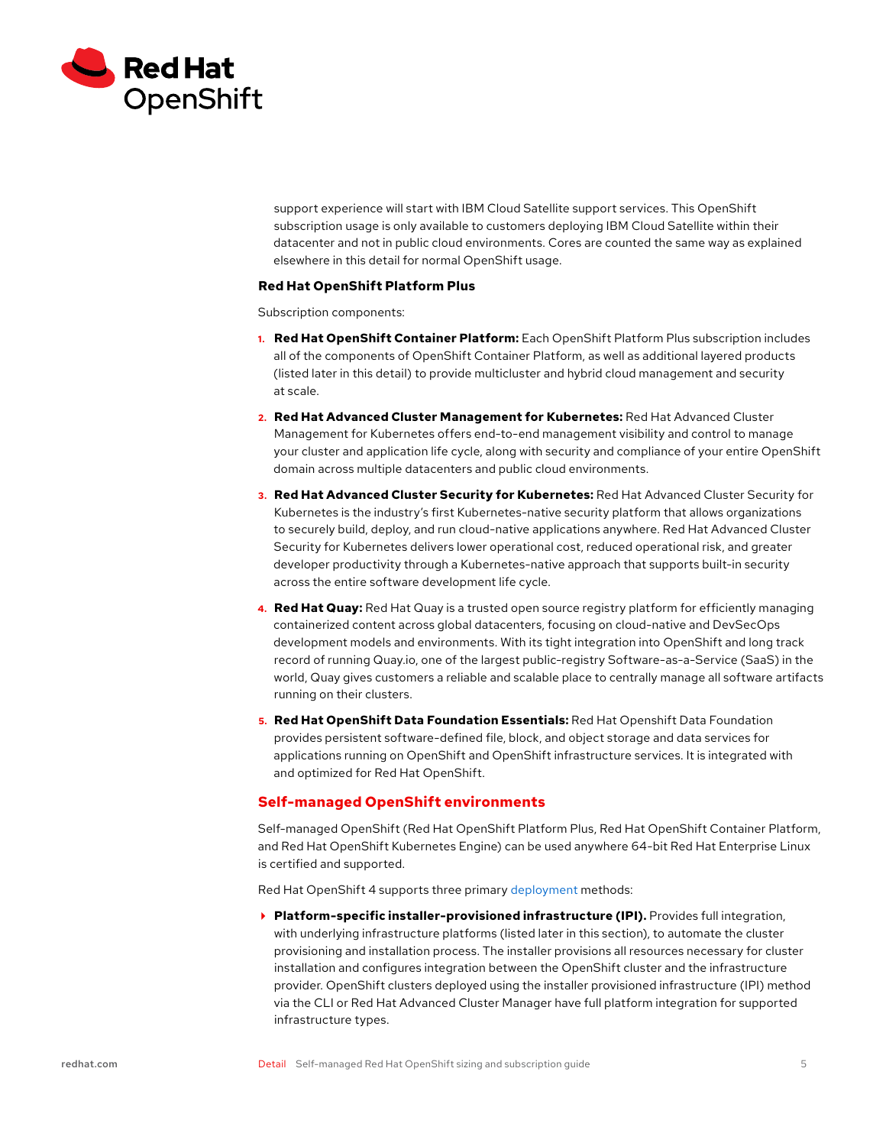<span id="page-4-0"></span>

support experience will start with IBM Cloud Satellite support services. This OpenShift subscription usage is only available to customers deploying IBM Cloud Satellite within their datacenter and not in public cloud environments. Cores are counted the same way as explained elsewhere in this detail for normal OpenShift usage.

## **Red Hat OpenShift Platform Plus**

Subscription components:

- **1. Red Hat OpenShift Container Platform:** Each OpenShift Platform Plus subscription includes all of the components of OpenShift Container Platform, as well as additional layered products (listed later in this detail) to provide multicluster and hybrid cloud management and security at scale.
- **2. Red Hat Advanced Cluster Management for Kubernetes:** Red Hat Advanced Cluster Management for Kubernetes offers end-to-end management visibility and control to manage your cluster and application life cycle, along with security and compliance of your entire OpenShift domain across multiple datacenters and public cloud environments.
- **3. Red Hat Advanced Cluster Security for Kubernetes:** Red Hat Advanced Cluster Security for Kubernetes is the industry's first Kubernetes-native security platform that allows organizations to securely build, deploy, and run cloud-native applications anywhere. Red Hat Advanced Cluster Security for Kubernetes delivers lower operational cost, reduced operational risk, and greater developer productivity through a Kubernetes-native approach that supports built-in security across the entire software development life cycle.
- **4. Red Hat Quay:** Red Hat Quay is a trusted open source registry platform for efficiently managing containerized content across global datacenters, focusing on cloud-native and DevSecOps development models and environments. With its tight integration into OpenShift and long track record of running Quay.io, one of the largest public-registry Software-as-a-Service (SaaS) in the world, Quay gives customers a reliable and scalable place to centrally manage all software artifacts running on their clusters.
- **5. Red Hat OpenShift Data Foundation Essentials:** Red Hat Openshift Data Foundation provides persistent software-defined file, block, and object storage and data services for applications running on OpenShift and OpenShift infrastructure services. It is integrated with and optimized for Red Hat OpenShift.

## **Self-managed OpenShift environments**

Self-managed OpenShift (Red Hat OpenShift Platform Plus, Red Hat OpenShift Container Platform, and Red Hat OpenShift Kubernetes Engine) can be used anywhere 64-bit Red Hat Enterprise Linux is certified and supported.

Red Hat OpenShift 4 supports three primary [deployment](https://docs.openshift.com/container-platform/4.10/installing/index.html) methods:

**Platform-specific installer-provisioned infrastructure (IPI).** Provides full integration, with underlying infrastructure platforms (listed later in this section), to automate the cluster provisioning and installation process. The installer provisions all resources necessary for cluster installation and configures integration between the OpenShift cluster and the infrastructure provider. OpenShift clusters deployed using the installer provisioned infrastructure (IPI) method via the CLI or Red Hat Advanced Cluster Manager have full platform integration for supported infrastructure types.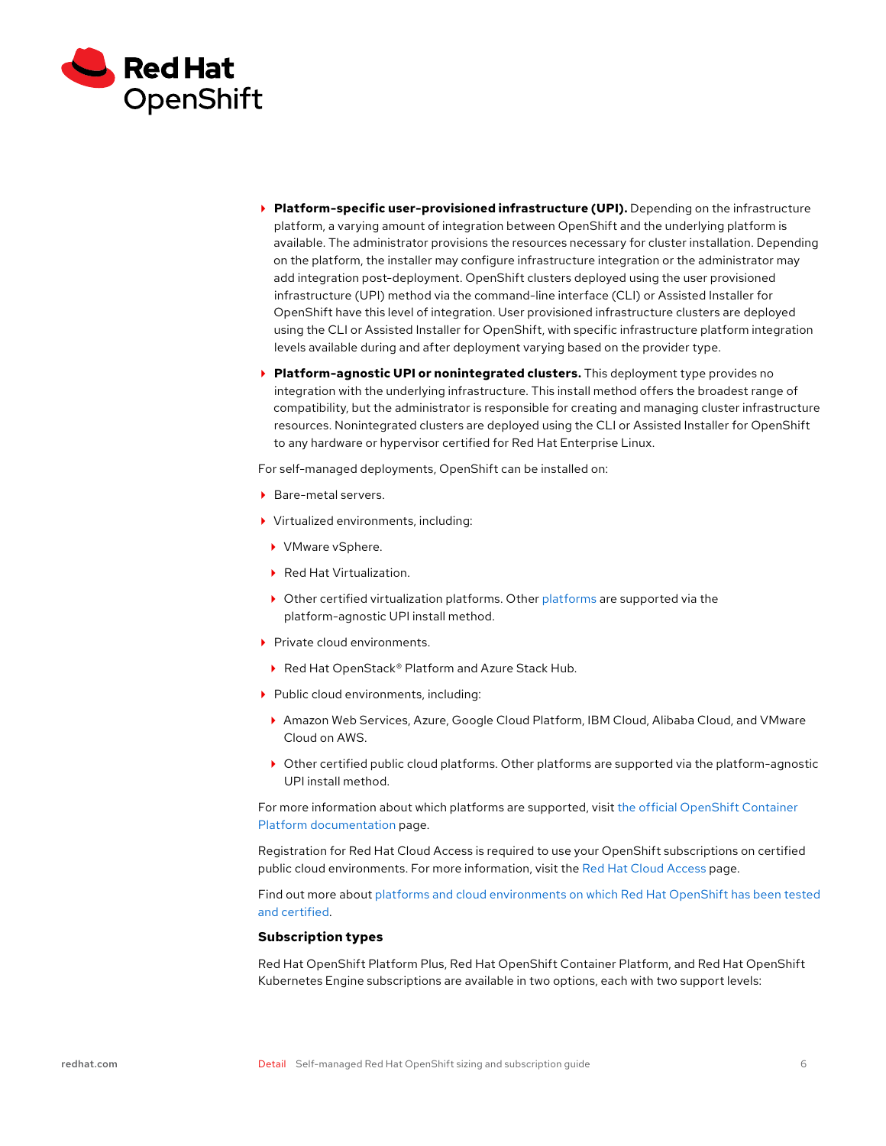<span id="page-5-0"></span>

- **Platform-specific user-provisioned infrastructure (UPI).** Depending on the infrastructure platform, a varying amount of integration between OpenShift and the underlying platform is available. The administrator provisions the resources necessary for cluster installation. Depending on the platform, the installer may configure infrastructure integration or the administrator may add integration post-deployment. OpenShift clusters deployed using the user provisioned infrastructure (UPI) method via the command-line interface (CLI) or Assisted Installer for OpenShift have this level of integration. User provisioned infrastructure clusters are deployed using the CLI or Assisted Installer for OpenShift, with specific infrastructure platform integration levels available during and after deployment varying based on the provider type.
- **Platform-agnostic UPI or nonintegrated clusters.** This deployment type provides no integration with the underlying infrastructure. This install method offers the broadest range of compatibility, but the administrator is responsible for creating and managing cluster infrastructure resources. Nonintegrated clusters are deployed using the CLI or Assisted Installer for OpenShift to any hardware or hypervisor certified for Red Hat Enterprise Linux.

For self-managed deployments, OpenShift can be installed on:

- ▶ Bare-metal servers.
- Virtualized environments, including:
	- ▶ VMware vSphere.
	- ▶ Red Hat Virtualization.
	- $\triangleright$  Other certified virtualization [platforms](https://access.redhat.com/solutions/certified-hypervisors). Other platforms are supported via the platform-agnostic UPI install method.
- $\blacktriangleright$  Private cloud environments.
- ▶ Red Hat OpenStack® Platform and Azure Stack Hub.
- Public cloud environments, including:
	- Amazon Web Services, Azure, Google Cloud Platform, IBM Cloud, Alibaba Cloud, and VMware Cloud on AWS.
- Other certified public cloud platforms. Other platforms are supported via the platform-agnostic UPI install method.

For more information about which platforms are supported, visit [the official OpenShift Container](https://docs.openshift.com/container-platform/4.10/welcome/index.html)  [Platform documentation](https://docs.openshift.com/container-platform/4.10/welcome/index.html) page.

Registration for Red Hat Cloud Access is required to use your OpenShift subscriptions on certified public cloud environments. For more information, visit the [Red Hat Cloud Access](https://www.redhat.com/en/technologies/cloud-computing/cloud-access) page.

Find out more about [platforms and cloud environments on which Red Hat OpenShift has been tested](https://access.redhat.com/articles/4128421)  [and certified.](https://access.redhat.com/articles/4128421)

#### **Subscription types**

Red Hat OpenShift Platform Plus, Red Hat OpenShift Container Platform, and Red Hat OpenShift Kubernetes Engine subscriptions are available in two options, each with two support levels: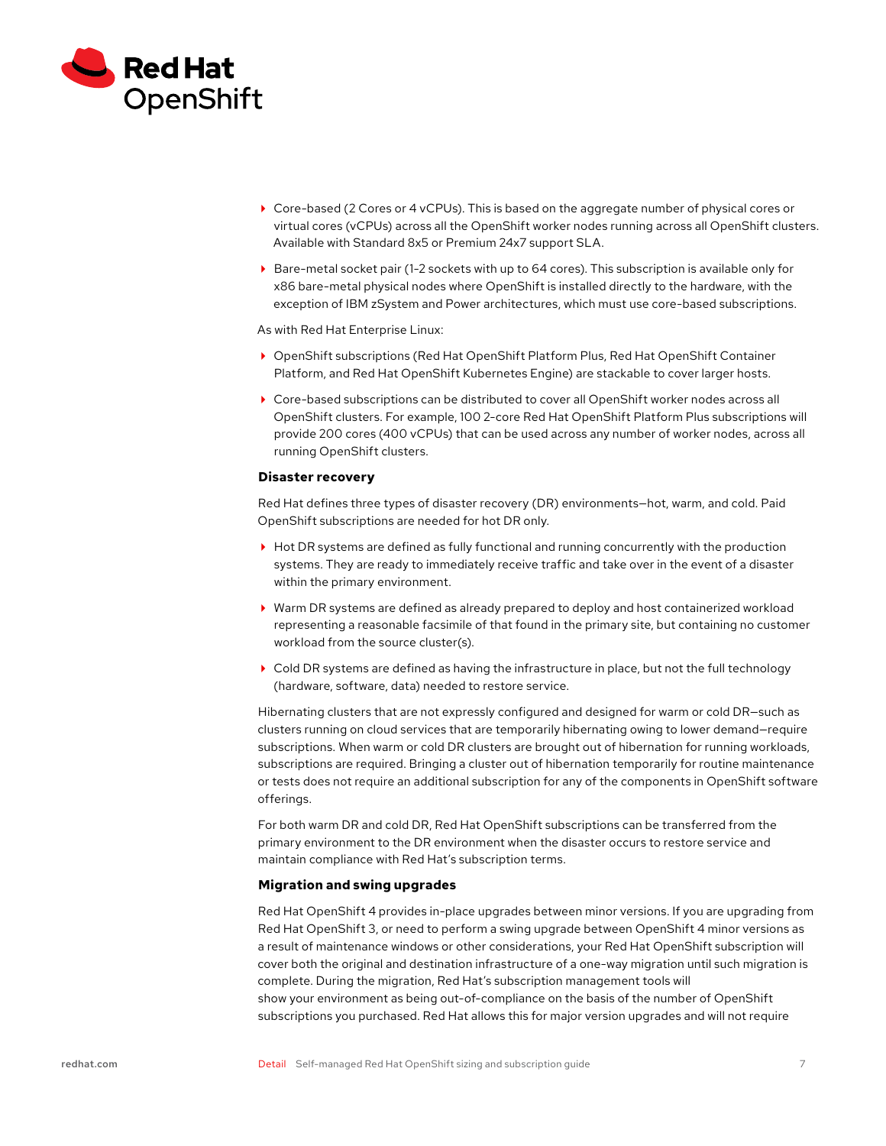<span id="page-6-0"></span>

- Core-based (2 Cores or 4 vCPUs). This is based on the aggregate number of physical cores or virtual cores (vCPUs) across all the OpenShift worker nodes running across all OpenShift clusters. Available with Standard 8x5 or Premium 24x7 support SLA.
- Bare-metal socket pair (1-2 sockets with up to 64 cores). This subscription is available only for x86 bare-metal physical nodes where OpenShift is installed directly to the hardware, with the exception of IBM zSystem and Power architectures, which must use core-based subscriptions.

As with Red Hat Enterprise Linux:

- OpenShift subscriptions (Red Hat OpenShift Platform Plus, Red Hat OpenShift Container Platform, and Red Hat OpenShift Kubernetes Engine) are stackable to cover larger hosts.
- Core-based subscriptions can be distributed to cover all OpenShift worker nodes across all OpenShift clusters. For example, 100 2-core Red Hat OpenShift Platform Plus subscriptions will provide 200 cores (400 vCPUs) that can be used across any number of worker nodes, across all running OpenShift clusters.

## **Disaster recovery**

Red Hat defines three types of disaster recovery (DR) environments—hot, warm, and cold. Paid OpenShift subscriptions are needed for hot DR only.

- ▶ Hot DR systems are defined as fully functional and running concurrently with the production systems. They are ready to immediately receive traffic and take over in the event of a disaster within the primary environment.
- Warm DR systems are defined as already prepared to deploy and host containerized workload representing a reasonable facsimile of that found in the primary site, but containing no customer workload from the source cluster(s).
- Cold DR systems are defined as having the infrastructure in place, but not the full technology (hardware, software, data) needed to restore service.

Hibernating clusters that are not expressly configured and designed for warm or cold DR—such as clusters running on cloud services that are temporarily hibernating owing to lower demand—require subscriptions. When warm or cold DR clusters are brought out of hibernation for running workloads, subscriptions are required. Bringing a cluster out of hibernation temporarily for routine maintenance or tests does not require an additional subscription for any of the components in OpenShift software offerings.

For both warm DR and cold DR, Red Hat OpenShift subscriptions can be transferred from the primary environment to the DR environment when the disaster occurs to restore service and maintain compliance with Red Hat's subscription terms.

#### **Migration and swing upgrades**

Red Hat OpenShift 4 provides in-place upgrades between minor versions. If you are upgrading from Red Hat OpenShift 3, or need to perform a swing upgrade between OpenShift 4 minor versions as a result of maintenance windows or other considerations, your Red Hat OpenShift subscription will cover both the original and destination infrastructure of a one-way migration until such migration is complete. During the migration, Red Hat's subscription management tools will show your environment as being out-of-compliance on the basis of the number of OpenShift subscriptions you purchased. Red Hat allows this for major version upgrades and will not require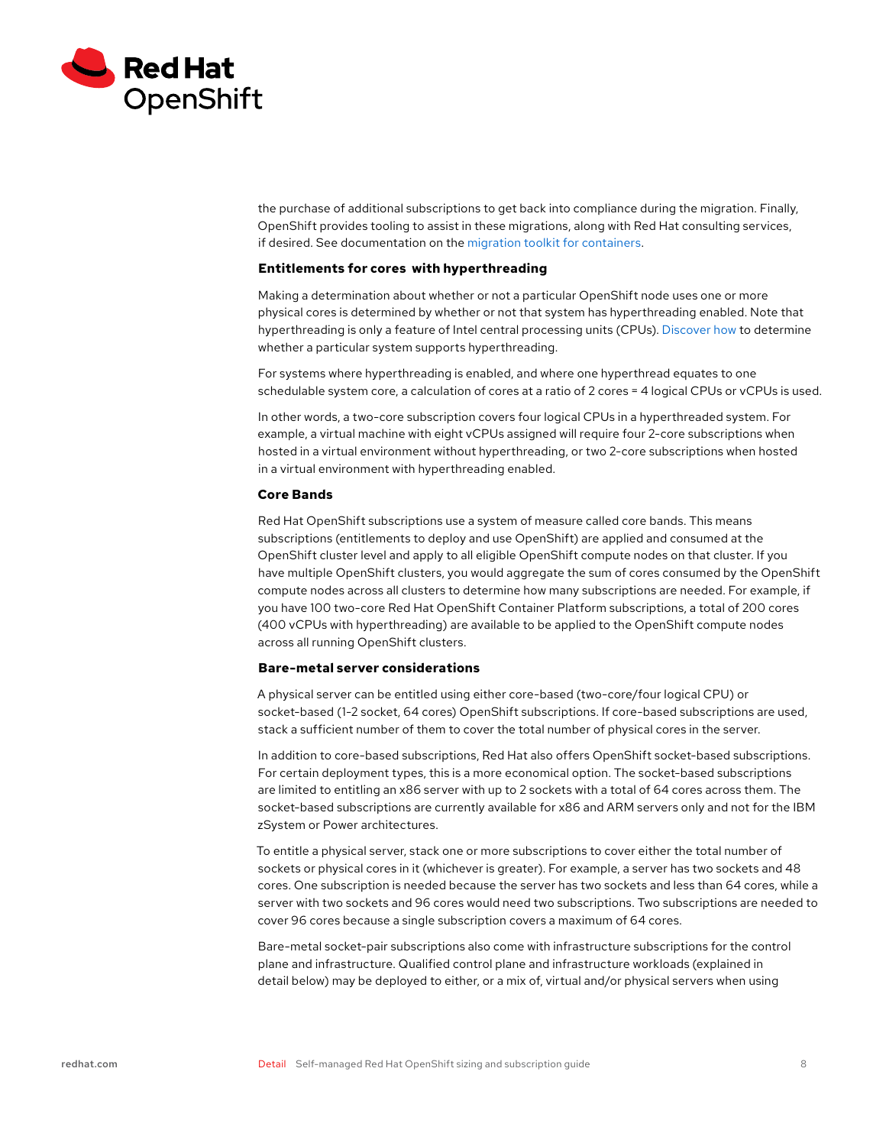<span id="page-7-0"></span>

the purchase of additional subscriptions to get back into compliance during the migration. Finally, OpenShift provides tooling to assist in these migrations, along with Red Hat consulting services, if desired. See documentation on the [migration toolkit for containers](https://docs.openshift.com/container-platform/4.10/welcome/index.html).

## **Entitlements for cores with hyperthreading**

Making a determination about whether or not a particular OpenShift node uses one or more physical cores is determined by whether or not that system has hyperthreading enabled. Note that hyperthreading is only a feature of Intel central processing units (CPUs). [Discover how](https://access.redhat.com/solutions/7714) to determine whether a particular system supports hyperthreading.

For systems where hyperthreading is enabled, and where one hyperthread equates to one schedulable system core, a calculation of cores at a ratio of 2 cores = 4 logical CPUs or vCPUs is used.

In other words, a two-core subscription covers four logical CPUs in a hyperthreaded system. For example, a virtual machine with eight vCPUs assigned will require four 2-core subscriptions when hosted in a virtual environment without hyperthreading, or two 2-core subscriptions when hosted in a virtual environment with hyperthreading enabled.

#### **Core Bands**

Red Hat OpenShift subscriptions use a system of measure called core bands. This means subscriptions (entitlements to deploy and use OpenShift) are applied and consumed at the OpenShift cluster level and apply to all eligible OpenShift compute nodes on that cluster. If you have multiple OpenShift clusters, you would aggregate the sum of cores consumed by the OpenShift compute nodes across all clusters to determine how many subscriptions are needed. For example, if you have 100 two-core Red Hat OpenShift Container Platform subscriptions, a total of 200 cores (400 vCPUs with hyperthreading) are available to be applied to the OpenShift compute nodes across all running OpenShift clusters.

## **Bare-metal server considerations**

A physical server can be entitled using either core-based (two-core/four logical CPU) or socket-based (1-2 socket, 64 cores) OpenShift subscriptions. If core-based subscriptions are used, stack a sufficient number of them to cover the total number of physical cores in the server.

In addition to core-based subscriptions, Red Hat also offers OpenShift socket-based subscriptions. For certain deployment types, this is a more economical option. The socket-based subscriptions are limited to entitling an x86 server with up to 2 sockets with a total of 64 cores across them. The socket-based subscriptions are currently available for x86 and ARM servers only and not for the IBM zSystem or Power architectures.

To entitle a physical server, stack one or more subscriptions to cover either the total number of sockets or physical cores in it (whichever is greater). For example, a server has two sockets and 48 cores. One subscription is needed because the server has two sockets and less than 64 cores, while a server with two sockets and 96 cores would need two subscriptions. Two subscriptions are needed to cover 96 cores because a single subscription covers a maximum of 64 cores.

Bare-metal socket-pair subscriptions also come with infrastructure subscriptions for the control plane and infrastructure. Qualified control plane and infrastructure workloads (explained in detail below) may be deployed to either, or a mix of, virtual and/or physical servers when using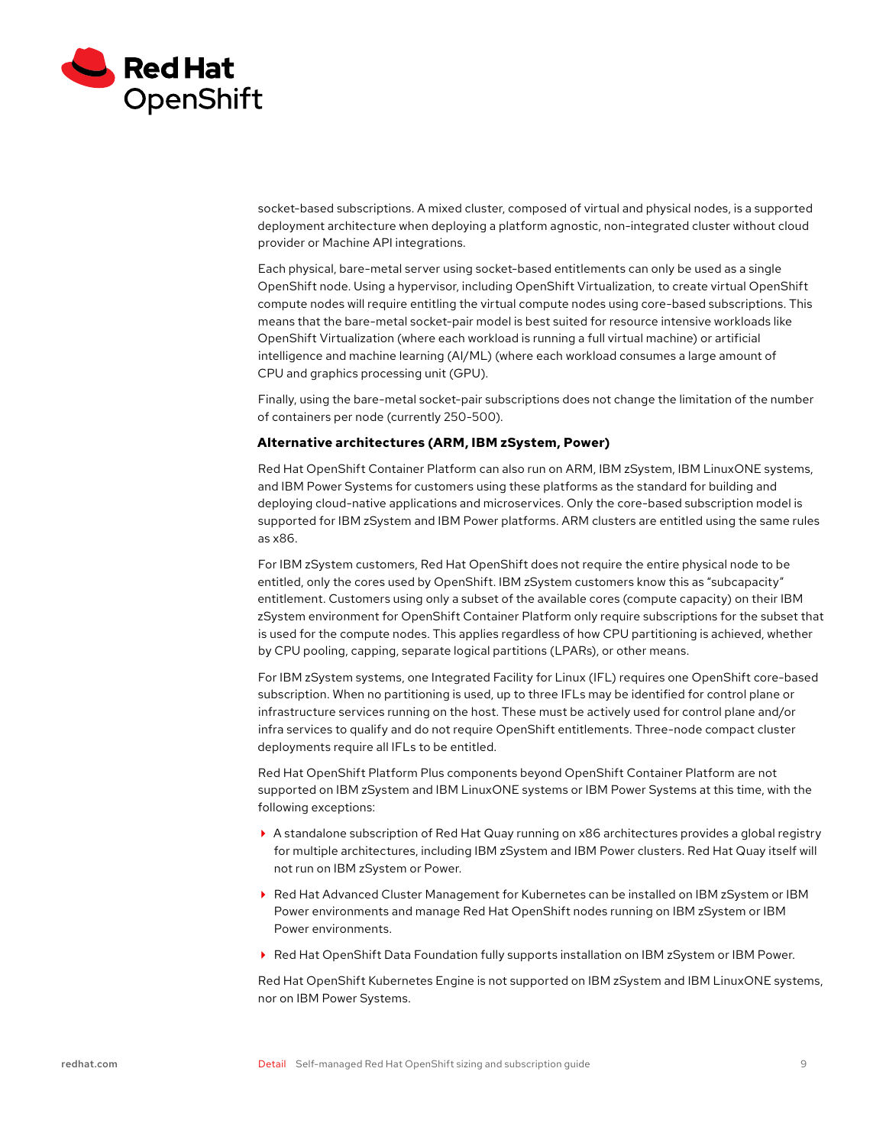<span id="page-8-0"></span>

socket-based subscriptions. A mixed cluster, composed of virtual and physical nodes, is a supported deployment architecture when deploying a platform agnostic, non-integrated cluster without cloud provider or Machine API integrations.

Each physical, bare-metal server using socket-based entitlements can only be used as a single OpenShift node. Using a hypervisor, including OpenShift Virtualization, to create virtual OpenShift compute nodes will require entitling the virtual compute nodes using core-based subscriptions. This means that the bare-metal socket-pair model is best suited for resource intensive workloads like OpenShift Virtualization (where each workload is running a full virtual machine) or artificial intelligence and machine learning (AI/ML) (where each workload consumes a large amount of CPU and graphics processing unit (GPU).

Finally, using the bare-metal socket-pair subscriptions does not change the limitation of the number of containers per node (currently 250-500).

#### **Alternative architectures (ARM, IBM zSystem, Power)**

Red Hat OpenShift Container Platform can also run on ARM, IBM zSystem, IBM LinuxONE systems, and IBM Power Systems for customers using these platforms as the standard for building and deploying cloud-native applications and microservices. Only the core-based subscription model is supported for IBM zSystem and IBM Power platforms. ARM clusters are entitled using the same rules as x86.

For IBM zSystem customers, Red Hat OpenShift does not require the entire physical node to be entitled, only the cores used by OpenShift. IBM zSystem customers know this as "subcapacity" entitlement. Customers using only a subset of the available cores (compute capacity) on their IBM zSystem environment for OpenShift Container Platform only require subscriptions for the subset that is used for the compute nodes. This applies regardless of how CPU partitioning is achieved, whether by CPU pooling, capping, separate logical partitions (LPARs), or other means.

For IBM zSystem systems, one Integrated Facility for Linux (IFL) requires one OpenShift core-based subscription. When no partitioning is used, up to three IFLs may be identified for control plane or infrastructure services running on the host. These must be actively used for control plane and/or infra services to qualify and do not require OpenShift entitlements. Three-node compact cluster deployments require all IFLs to be entitled.

Red Hat OpenShift Platform Plus components beyond OpenShift Container Platform are not supported on IBM zSystem and IBM LinuxONE systems or IBM Power Systems at this time, with the following exceptions:

- A standalone subscription of Red Hat Quay running on x86 architectures provides a global registry for multiple architectures, including IBM zSystem and IBM Power clusters. Red Hat Quay itself will not run on IBM zSystem or Power.
- ▶ Red Hat Advanced Cluster Management for Kubernetes can be installed on IBM zSystem or IBM Power environments and manage Red Hat OpenShift nodes running on IBM zSystem or IBM Power environments.
- ▶ Red Hat OpenShift Data Foundation fully supports installation on IBM zSystem or IBM Power.

Red Hat OpenShift Kubernetes Engine is not supported on IBM zSystem and IBM LinuxONE systems, nor on IBM Power Systems.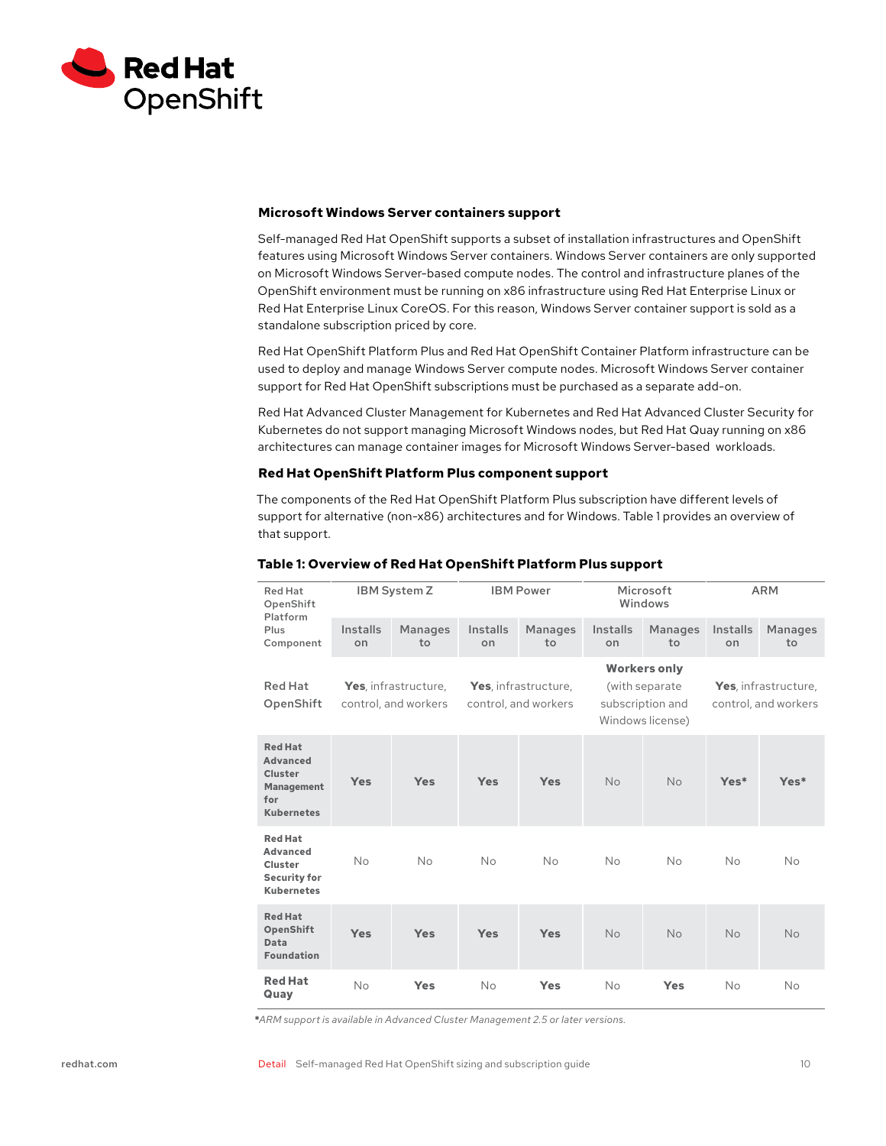<span id="page-9-0"></span>

#### **Microsoft Windows Server containers support**

Self-managed Red Hat OpenShift supports a subset of installation infrastructures and OpenShift features using Microsoft Windows Server containers. Windows Server containers are only supported on Microsoft Windows Server-based compute nodes. The control and infrastructure planes of the OpenShift environment must be running on x86 infrastructure using Red Hat Enterprise Linux or Red Hat Enterprise Linux CoreOS. For this reason, Windows Server container support is sold as a standalone subscription priced by core.

Red Hat OpenShift Platform Plus and Red Hat OpenShift Container Platform infrastructure can be used to deploy and manage Windows Server compute nodes. Microsoft Windows Server container support for Red Hat OpenShift subscriptions must be purchased as a separate add-on.

Red Hat Advanced Cluster Management for Kubernetes and Red Hat Advanced Cluster Security for Kubernetes do not support managing Microsoft Windows nodes, but Red Hat Quay running on x86 architectures can manage container images for Microsoft Windows Server-based workloads.

## **Red Hat OpenShift Platform Plus component support**

The components of the Red Hat OpenShift Platform Plus subscription have different levels of support for alternative (non-x86) architectures and for Windows. Table 1 provides an overview of that support.

| <b>Red Hat</b><br>OpenShift<br>Platform<br>Plus<br>Component                                  | <b>IBM System Z</b>                          |                      | <b>IBM Power</b>                             |                      | Microsoft<br>Windows                                                          |                      | <b>ARM</b>                                   |                      |
|-----------------------------------------------------------------------------------------------|----------------------------------------------|----------------------|----------------------------------------------|----------------------|-------------------------------------------------------------------------------|----------------------|----------------------------------------------|----------------------|
|                                                                                               | Installs<br>on                               | <b>Manages</b><br>to | Installs<br>on                               | <b>Manages</b><br>to | Installs<br>on                                                                | <b>Manages</b><br>to | Installs<br>on                               | <b>Manages</b><br>to |
| <b>Red Hat</b><br>OpenShift                                                                   | Yes, infrastructure,<br>control, and workers |                      | Yes, infrastructure,<br>control, and workers |                      | <b>Workers only</b><br>(with separate<br>subscription and<br>Windows license) |                      | Yes, infrastructure,<br>control, and workers |                      |
| <b>Red Hat</b><br><b>Advanced</b><br>Cluster<br><b>Management</b><br>for<br><b>Kubernetes</b> | <b>Yes</b>                                   | <b>Yes</b>           | <b>Yes</b>                                   | <b>Yes</b>           | <b>No</b>                                                                     | <b>No</b>            | Yes*                                         | Yes*                 |
| <b>Red Hat</b><br><b>Advanced</b><br>Cluster<br><b>Security for</b><br><b>Kubernetes</b>      | No                                           | No                   | <b>No</b>                                    | <b>No</b>            | <b>No</b>                                                                     | <b>No</b>            | No                                           | <b>No</b>            |
| <b>Red Hat</b><br><b>OpenShift</b><br>Data<br><b>Foundation</b>                               | <b>Yes</b>                                   | Yes                  | <b>Yes</b>                                   | <b>Yes</b>           | <b>No</b>                                                                     | <b>No</b>            | <b>No</b>                                    | <b>No</b>            |
| <b>Red Hat</b><br>Quay                                                                        | No                                           | Yes                  | No                                           | Yes                  | No                                                                            | <b>Yes</b>           | No                                           | No                   |

## **Table 1: Overview of Red Hat OpenShift Platform Plus support**

**\****ARM support is available in Advanced Cluster Management 2.5 or later versions.*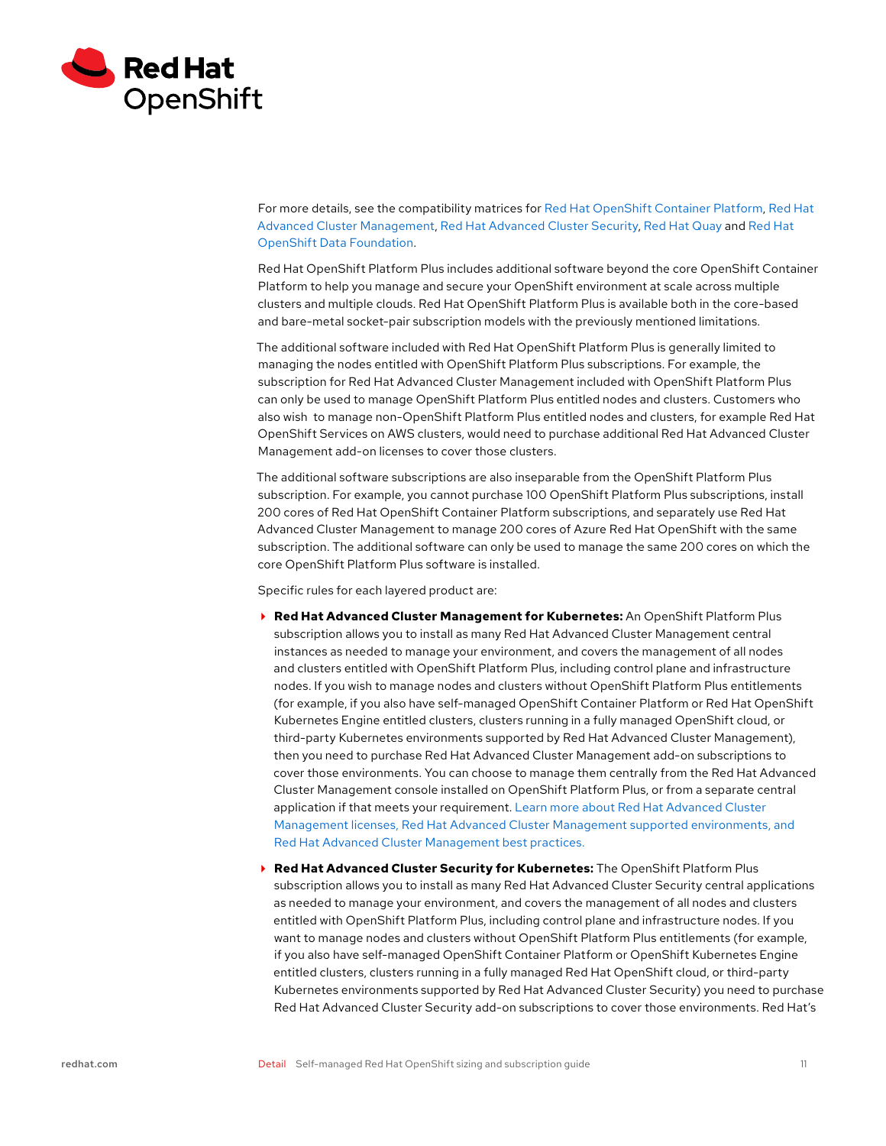

For more details, see the compatibility matrices for [Red Hat OpenShift Container Platform](https://access.redhat.com/articles/4128421), [Red Hat](https://access.redhat.com/articles/6218901)  [Advanced Cluster Management,](https://access.redhat.com/articles/6218901) [Red Hat Advanced Cluster Security](https://access.redhat.com/node/5822721), [Red Hat Quay](https://access.redhat.com/support/policy/updates/rhquay/policies) and [Red Hat](https://www.redhat.com/en/technologies/cloud-computing/openshift-data-foundation)  [OpenShift Data Foundation.](https://www.redhat.com/en/technologies/cloud-computing/openshift-data-foundation)

Red Hat OpenShift Platform Plus includes additional software beyond the core OpenShift Container Platform to help you manage and secure your OpenShift environment at scale across multiple clusters and multiple clouds. Red Hat OpenShift Platform Plus is available both in the core-based and bare-metal socket-pair subscription models with the previously mentioned limitations.

The additional software included with Red Hat OpenShift Platform Plus is generally limited to managing the nodes entitled with OpenShift Platform Plus subscriptions. For example, the subscription for Red Hat Advanced Cluster Management included with OpenShift Platform Plus can only be used to manage OpenShift Platform Plus entitled nodes and clusters. Customers who also wish to manage non-OpenShift Platform Plus entitled nodes and clusters, for example Red Hat OpenShift Services on AWS clusters, would need to purchase additional Red Hat Advanced Cluster Management add-on licenses to cover those clusters.

The additional software subscriptions are also inseparable from the OpenShift Platform Plus subscription. For example, you cannot purchase 100 OpenShift Platform Plus subscriptions, install 200 cores of Red Hat OpenShift Container Platform subscriptions, and separately use Red Hat Advanced Cluster Management to manage 200 cores of Azure Red Hat OpenShift with the same subscription. The additional software can only be used to manage the same 200 cores on which the core OpenShift Platform Plus software is installed.

Specific rules for each layered product are:

- **Red Hat Advanced Cluster Management for Kubernetes:** An OpenShift Platform Plus subscription allows you to install as many Red Hat Advanced Cluster Management central instances as needed to manage your environment, and covers the management of all nodes and clusters entitled with OpenShift Platform Plus, including control plane and infrastructure nodes. If you wish to manage nodes and clusters without OpenShift Platform Plus entitlements (for example, if you also have self-managed OpenShift Container Platform or Red Hat OpenShift Kubernetes Engine entitled clusters, clusters running in a fully managed OpenShift cloud, or third-party Kubernetes environments supported by Red Hat Advanced Cluster Management), then you need to purchase Red Hat Advanced Cluster Management add-on subscriptions to cover those environments. You can choose to manage them centrally from the Red Hat Advanced Cluster Management console installed on OpenShift Platform Plus, or from a separate central application if that meets your requirement. [Learn more about Red Hat Advanced Cluster](https://www.redhat.com/en/technologies/management/advanced-cluster-management)  [Management licenses, Red Hat Advanced Cluster Management supported environments, and](https://www.redhat.com/en/technologies/management/advanced-cluster-management)  [Red Hat Advanced Cluster Management best practices.](https://www.redhat.com/en/technologies/management/advanced-cluster-management)
- **Red Hat Advanced Cluster Security for Kubernetes:** The OpenShift Platform Plus subscription allows you to install as many Red Hat Advanced Cluster Security central applications as needed to manage your environment, and covers the management of all nodes and clusters entitled with OpenShift Platform Plus, including control plane and infrastructure nodes. If you want to manage nodes and clusters without OpenShift Platform Plus entitlements (for example, if you also have self-managed OpenShift Container Platform or OpenShift Kubernetes Engine entitled clusters, clusters running in a fully managed Red Hat OpenShift cloud, or third-party Kubernetes environments supported by Red Hat Advanced Cluster Security) you need to purchase Red Hat Advanced Cluster Security add-on subscriptions to cover those environments. Red Hat's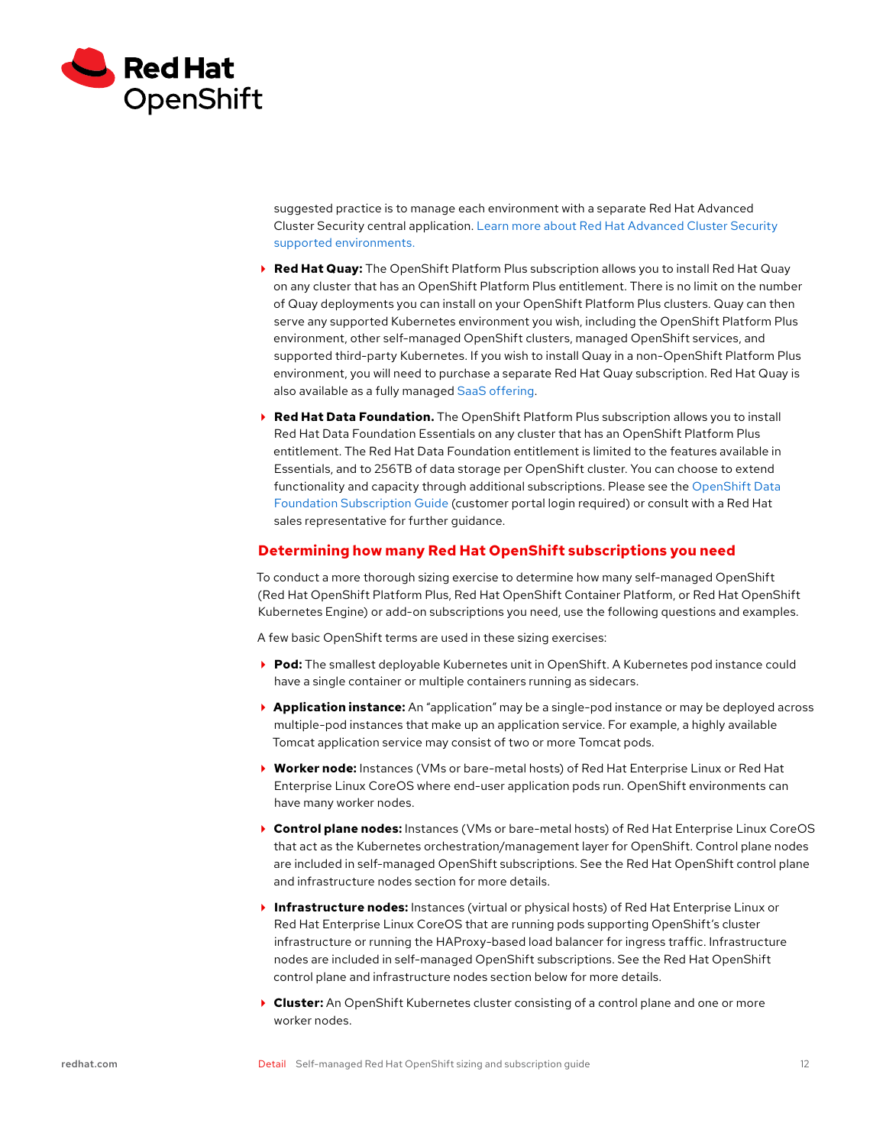<span id="page-11-0"></span>

suggested practice is to manage each environment with a separate Red Hat Advanced Cluster Security central application. [Learn more about Red Hat Advanced Cluster Security](https://www.redhat.com/en/technologies/cloud-computing/openshift/advanced-cluster-security-kubernetes)  [supported environments.](https://www.redhat.com/en/technologies/cloud-computing/openshift/advanced-cluster-security-kubernetes)

- **Red Hat Quay:** The OpenShift Platform Plus subscription allows you to install Red Hat Quay on any cluster that has an OpenShift Platform Plus entitlement. There is no limit on the number of Quay deployments you can install on your OpenShift Platform Plus clusters. Quay can then serve any supported Kubernetes environment you wish, including the OpenShift Platform Plus environment, other self-managed OpenShift clusters, managed OpenShift services, and supported third-party Kubernetes. If you wish to install Quay in a non-OpenShift Platform Plus environment, you will need to purchase a separate Red Hat Quay subscription. Red Hat Quay is also available as a fully managed [SaaS offering.](https://quay.io/)
- **Red Hat Data Foundation.** The OpenShift Platform Plus subscription allows you to install Red Hat Data Foundation Essentials on any cluster that has an OpenShift Platform Plus entitlement. The Red Hat Data Foundation entitlement is limited to the features available in Essentials, and to 256TB of data storage per OpenShift cluster. You can choose to extend functionality and capacity through additional subscriptions. Please see the [OpenShift Data](https://access.redhat.com/articles/6932811)  [Foundation Subscription Guide](https://access.redhat.com/articles/6932811) (customer portal login required) or consult with a Red Hat sales representative for further guidance.

## **Determining how many Red Hat OpenShift subscriptions you need**

To conduct a more thorough sizing exercise to determine how many self-managed OpenShift (Red Hat OpenShift Platform Plus, Red Hat OpenShift Container Platform, or Red Hat OpenShift Kubernetes Engine) or add-on subscriptions you need, use the following questions and examples.

A few basic OpenShift terms are used in these sizing exercises:

- **Pod:** The smallest deployable Kubernetes unit in OpenShift. A Kubernetes pod instance could have a single container or multiple containers running as sidecars.
- **Application instance:** An "application" may be a single-pod instance or may be deployed across multiple-pod instances that make up an application service. For example, a highly available Tomcat application service may consist of two or more Tomcat pods.
- **Worker node:** Instances (VMs or bare-metal hosts) of Red Hat Enterprise Linux or Red Hat Enterprise Linux CoreOS where end-user application pods run. OpenShift environments can have many worker nodes.
- **Control plane nodes:** Instances (VMs or bare-metal hosts) of Red Hat Enterprise Linux CoreOS that act as the Kubernetes orchestration/management layer for OpenShift. Control plane nodes are included in self-managed OpenShift subscriptions. See the Red Hat OpenShift control plane and infrastructure nodes section for more details.
- **Infrastructure nodes:** Instances (virtual or physical hosts) of Red Hat Enterprise Linux or Red Hat Enterprise Linux CoreOS that are running pods supporting OpenShift's cluster infrastructure or running the HAProxy-based load balancer for ingress traffic. Infrastructure nodes are included in self-managed OpenShift subscriptions. See the Red Hat OpenShift control plane and infrastructure nodes section below for more details.
- **Cluster:** An OpenShift Kubernetes cluster consisting of a control plane and one or more worker nodes.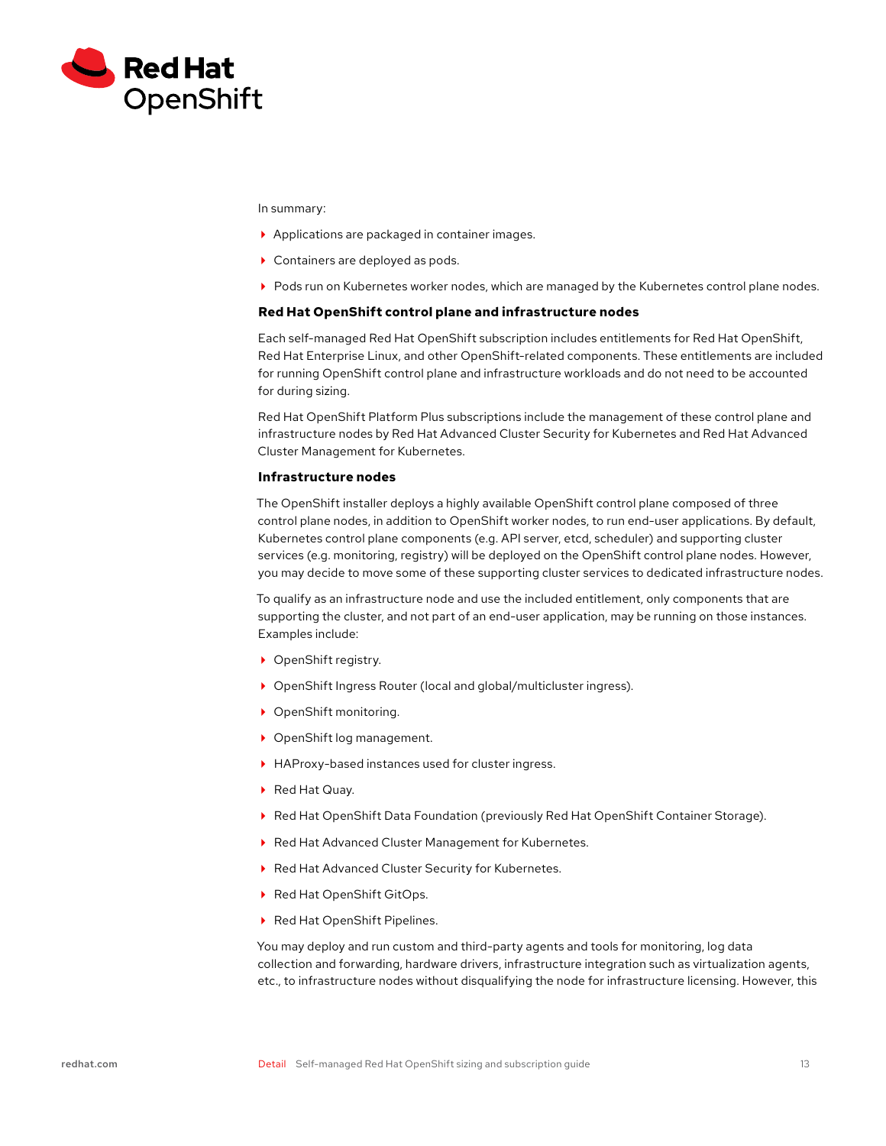

In summary:

- Applications are packaged in container images.
- ▶ Containers are deployed as pods.
- Pods run on Kubernetes worker nodes, which are managed by the Kubernetes control plane nodes.

#### **Red Hat OpenShift control plane and infrastructure nodes**

Each self-managed Red Hat OpenShift subscription includes entitlements for Red Hat OpenShift, Red Hat Enterprise Linux, and other OpenShift-related components. These entitlements are included for running OpenShift control plane and infrastructure workloads and do not need to be accounted for during sizing.

Red Hat OpenShift Platform Plus subscriptions include the management of these control plane and infrastructure nodes by Red Hat Advanced Cluster Security for Kubernetes and Red Hat Advanced Cluster Management for Kubernetes.

## **Infrastructure nodes**

The OpenShift installer deploys a highly available OpenShift control plane composed of three control plane nodes, in addition to OpenShift worker nodes, to run end-user applications. By default, Kubernetes control plane components (e.g. API server, etcd, scheduler) and supporting cluster services (e.g. monitoring, registry) will be deployed on the OpenShift control plane nodes. However, you may decide to move some of these supporting cluster services to dedicated infrastructure nodes.

To qualify as an infrastructure node and use the included entitlement, only components that are supporting the cluster, and not part of an end-user application, may be running on those instances. Examples include:

- ▶ OpenShift registry.
- ▶ OpenShift Ingress Router (local and global/multicluster ingress).
- ▶ OpenShift monitoring.
- ▶ OpenShift log management.
- HAProxy-based instances used for cluster ingress.
- ▶ Red Hat Quay.
- Red Hat OpenShift Data Foundation (previously Red Hat OpenShift Container Storage).
- ▶ Red Hat Advanced Cluster Management for Kubernetes.
- ▶ Red Hat Advanced Cluster Security for Kubernetes.
- ▶ Red Hat OpenShift GitOps.
- ▶ Red Hat OpenShift Pipelines.

You may deploy and run custom and third-party agents and tools for monitoring, log data collection and forwarding, hardware drivers, infrastructure integration such as virtualization agents, etc., to infrastructure nodes without disqualifying the node for infrastructure licensing. However, this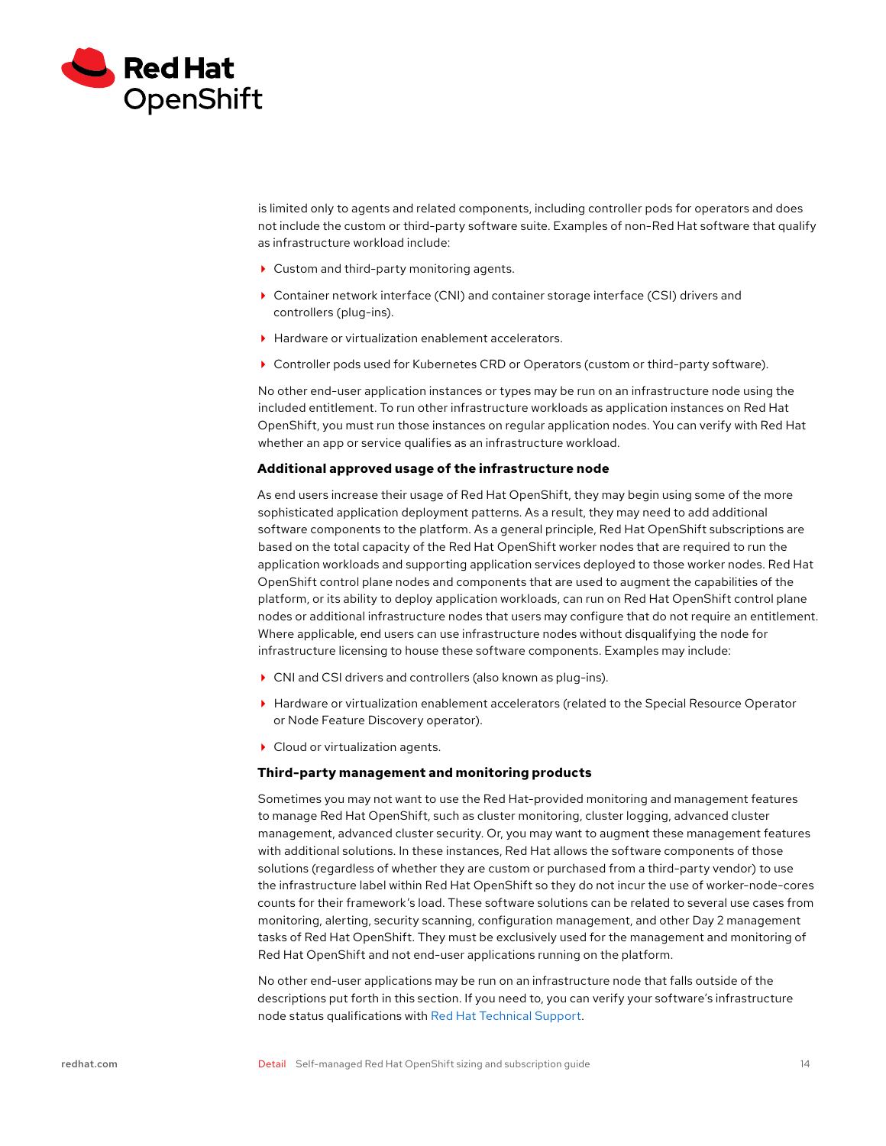

is limited only to agents and related components, including controller pods for operators and does not include the custom or third-party software suite. Examples of non-Red Hat software that qualify as infrastructure workload include:

- ▶ Custom and third-party monitoring agents.
- Container network interface (CNI) and container storage interface (CSI) drivers and controllers (plug-ins).
- ▶ Hardware or virtualization enablement accelerators.
- Controller pods used for Kubernetes CRD or Operators (custom or third-party software).

No other end-user application instances or types may be run on an infrastructure node using the included entitlement. To run other infrastructure workloads as application instances on Red Hat OpenShift, you must run those instances on regular application nodes. You can verify with Red Hat whether an app or service qualifies as an infrastructure workload.

#### **Additional approved usage of the infrastructure node**

As end users increase their usage of Red Hat OpenShift, they may begin using some of the more sophisticated application deployment patterns. As a result, they may need to add additional software components to the platform. As a general principle, Red Hat OpenShift subscriptions are based on the total capacity of the Red Hat OpenShift worker nodes that are required to run the application workloads and supporting application services deployed to those worker nodes. Red Hat OpenShift control plane nodes and components that are used to augment the capabilities of the platform, or its ability to deploy application workloads, can run on Red Hat OpenShift control plane nodes or additional infrastructure nodes that users may configure that do not require an entitlement. Where applicable, end users can use infrastructure nodes without disqualifying the node for infrastructure licensing to house these software components. Examples may include:

- CNI and CSI drivers and controllers (also known as plug-ins).
- Hardware or virtualization enablement accelerators (related to the Special Resource Operator or Node Feature Discovery operator).
- ▶ Cloud or virtualization agents.

## **Third-party management and monitoring products**

Sometimes you may not want to use the Red Hat-provided monitoring and management features to manage Red Hat OpenShift, such as cluster monitoring, cluster logging, advanced cluster management, advanced cluster security. Or, you may want to augment these management features with additional solutions. In these instances, Red Hat allows the software components of those solutions (regardless of whether they are custom or purchased from a third-party vendor) to use the infrastructure label within Red Hat OpenShift so they do not incur the use of worker-node-cores counts for their framework's load. These software solutions can be related to several use cases from monitoring, alerting, security scanning, configuration management, and other Day 2 management tasks of Red Hat OpenShift. They must be exclusively used for the management and monitoring of Red Hat OpenShift and not end-user applications running on the platform.

No other end-user applications may be run on an infrastructure node that falls outside of the descriptions put forth in this section. If you need to, you can verify your software's infrastructure node status qualifications with [Red Hat Technical Support.](https://access.redhat.com/support/contact/technicalSupport/)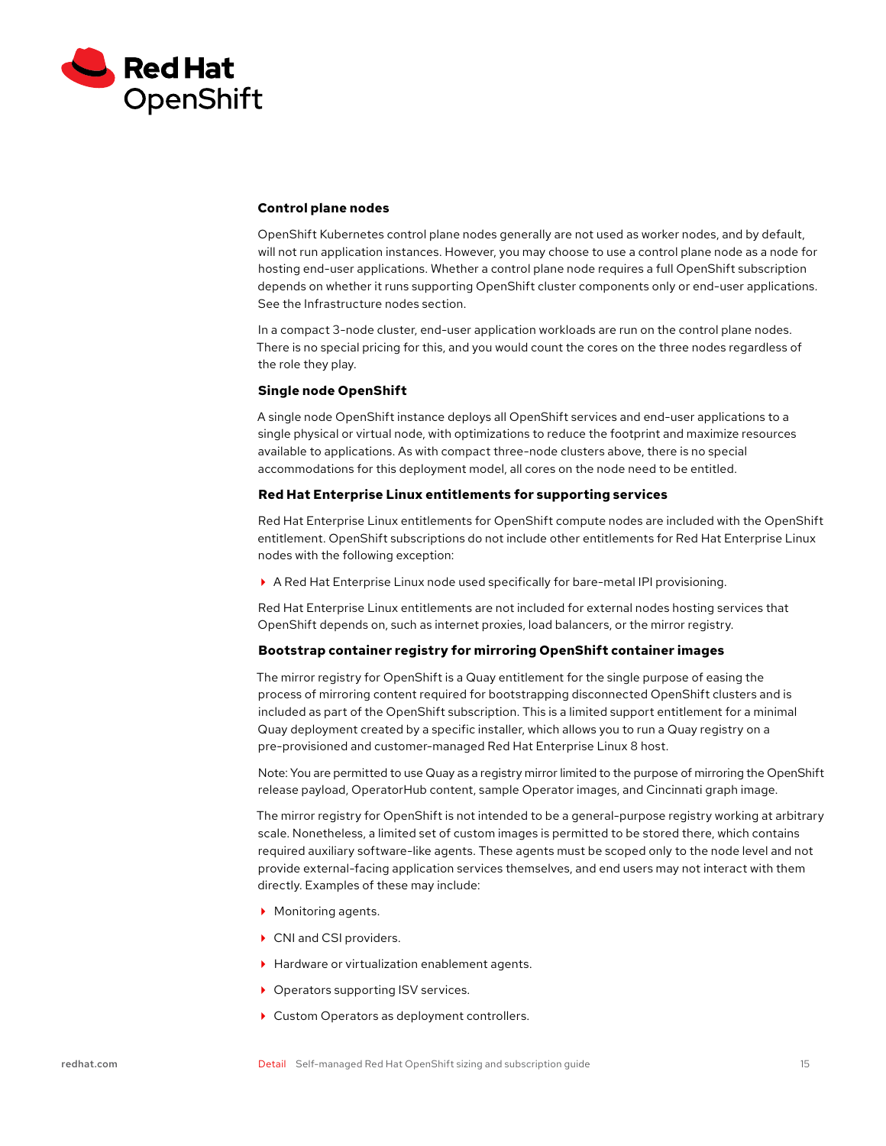

#### **Control plane nodes**

OpenShift Kubernetes control plane nodes generally are not used as worker nodes, and by default, will not run application instances. However, you may choose to use a control plane node as a node for hosting end-user applications. Whether a control plane node requires a full OpenShift subscription depends on whether it runs supporting OpenShift cluster components only or end-user applications. See the Infrastructure nodes section.

In a compact 3-node cluster, end-user application workloads are run on the control plane nodes. There is no special pricing for this, and you would count the cores on the three nodes regardless of the role they play.

## **Single node OpenShift**

A single node OpenShift instance deploys all OpenShift services and end-user applications to a single physical or virtual node, with optimizations to reduce the footprint and maximize resources available to applications. As with compact three-node clusters above, there is no special accommodations for this deployment model, all cores on the node need to be entitled.

#### **Red Hat Enterprise Linux entitlements for supporting services**

Red Hat Enterprise Linux entitlements for OpenShift compute nodes are included with the OpenShift entitlement. OpenShift subscriptions do not include other entitlements for Red Hat Enterprise Linux nodes with the following exception:

A Red Hat Enterprise Linux node used specifically for bare-metal IPI provisioning.

Red Hat Enterprise Linux entitlements are not included for external nodes hosting services that OpenShift depends on, such as internet proxies, load balancers, or the mirror registry.

## **Bootstrap container registry for mirroring OpenShift container images**

The mirror registry for OpenShift is a Quay entitlement for the single purpose of easing the process of mirroring content required for bootstrapping disconnected OpenShift clusters and is included as part of the OpenShift subscription. This is a limited support entitlement for a minimal Quay deployment created by a specific installer, which allows you to run a Quay registry on a pre-provisioned and customer-managed Red Hat Enterprise Linux 8 host.

Note: You are permitted to use Quay as a registry mirror limited to the purpose of mirroring the OpenShift release payload, OperatorHub content, sample Operator images, and Cincinnati graph image.

The mirror registry for OpenShift is not intended to be a general-purpose registry working at arbitrary scale. Nonetheless, a limited set of custom images is permitted to be stored there, which contains required auxiliary software-like agents. These agents must be scoped only to the node level and not provide external-facing application services themselves, and end users may not interact with them directly. Examples of these may include:

- ▶ Monitoring agents.
- ▶ CNI and CSI providers.
- ▶ Hardware or virtualization enablement agents.
- ▶ Operators supporting ISV services.
- ▶ Custom Operators as deployment controllers.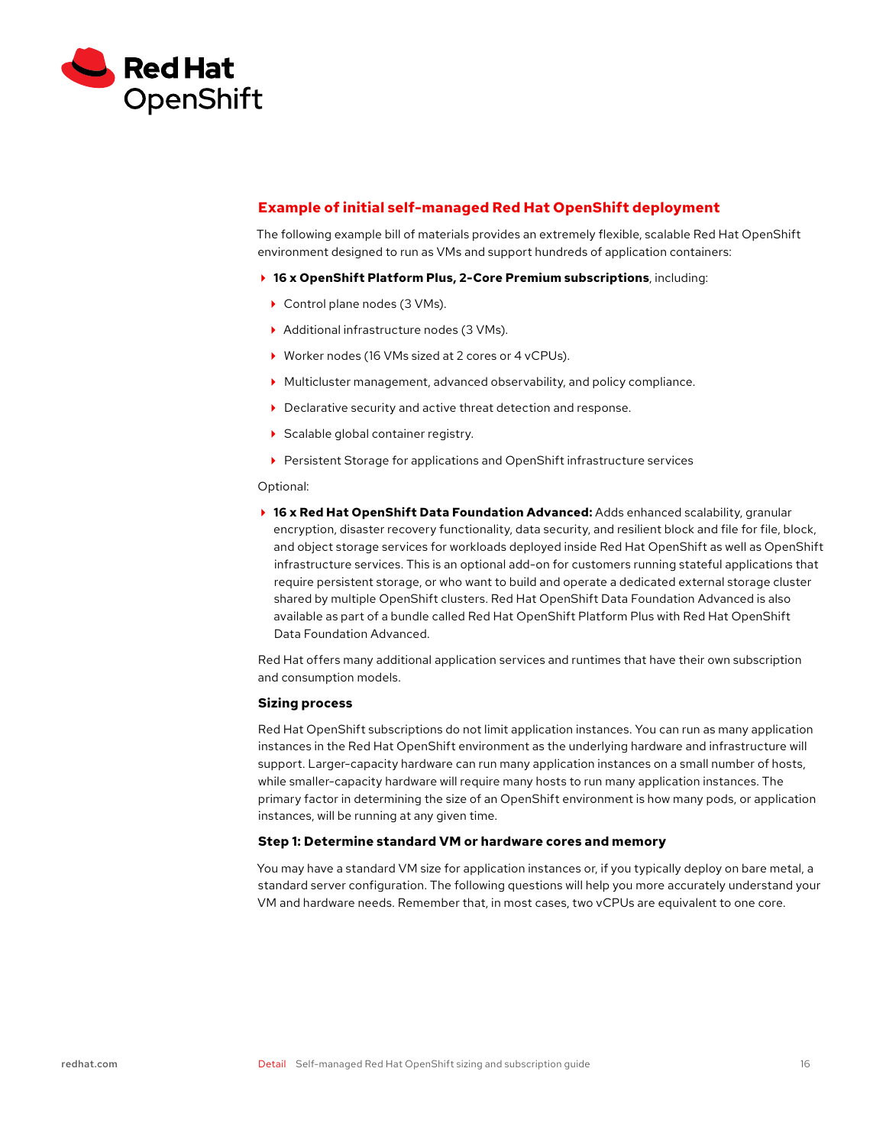<span id="page-15-0"></span>

## **Example of initial self-managed Red Hat OpenShift deployment**

The following example bill of materials provides an extremely flexible, scalable Red Hat OpenShift environment designed to run as VMs and support hundreds of application containers:

- **16 x OpenShift Platform Plus, 2-Core Premium subscriptions**, including:
	- ▶ Control plane nodes (3 VMs).
	- Additional infrastructure nodes (3 VMs).
	- ▶ Worker nodes (16 VMs sized at 2 cores or 4 vCPUs).
	- Multicluster management, advanced observability, and policy compliance.
- ▶ Declarative security and active threat detection and response.
- Scalable global container registry.
- Persistent Storage for applications and OpenShift infrastructure services

#### Optional:

**▶ 16 x Red Hat OpenShift Data Foundation Advanced:** Adds enhanced scalability, granular encryption, disaster recovery functionality, data security, and resilient block and file for file, block, and object storage services for workloads deployed inside Red Hat OpenShift as well as OpenShift infrastructure services. This is an optional add-on for customers running stateful applications that require persistent storage, or who want to build and operate a dedicated external storage cluster shared by multiple OpenShift clusters. Red Hat OpenShift Data Foundation Advanced is also available as part of a bundle called Red Hat OpenShift Platform Plus with Red Hat OpenShift Data Foundation Advanced.

Red Hat offers many additional application services and runtimes that have their own subscription and consumption models.

#### **Sizing process**

Red Hat OpenShift subscriptions do not limit application instances. You can run as many application instances in the Red Hat OpenShift environment as the underlying hardware and infrastructure will support. Larger-capacity hardware can run many application instances on a small number of hosts, while smaller-capacity hardware will require many hosts to run many application instances. The primary factor in determining the size of an OpenShift environment is how many pods, or application instances, will be running at any given time.

## **Step 1: Determine standard VM or hardware cores and memory**

You may have a standard VM size for application instances or, if you typically deploy on bare metal, a standard server configuration. The following questions will help you more accurately understand your VM and hardware needs. Remember that, in most cases, two vCPUs are equivalent to one core.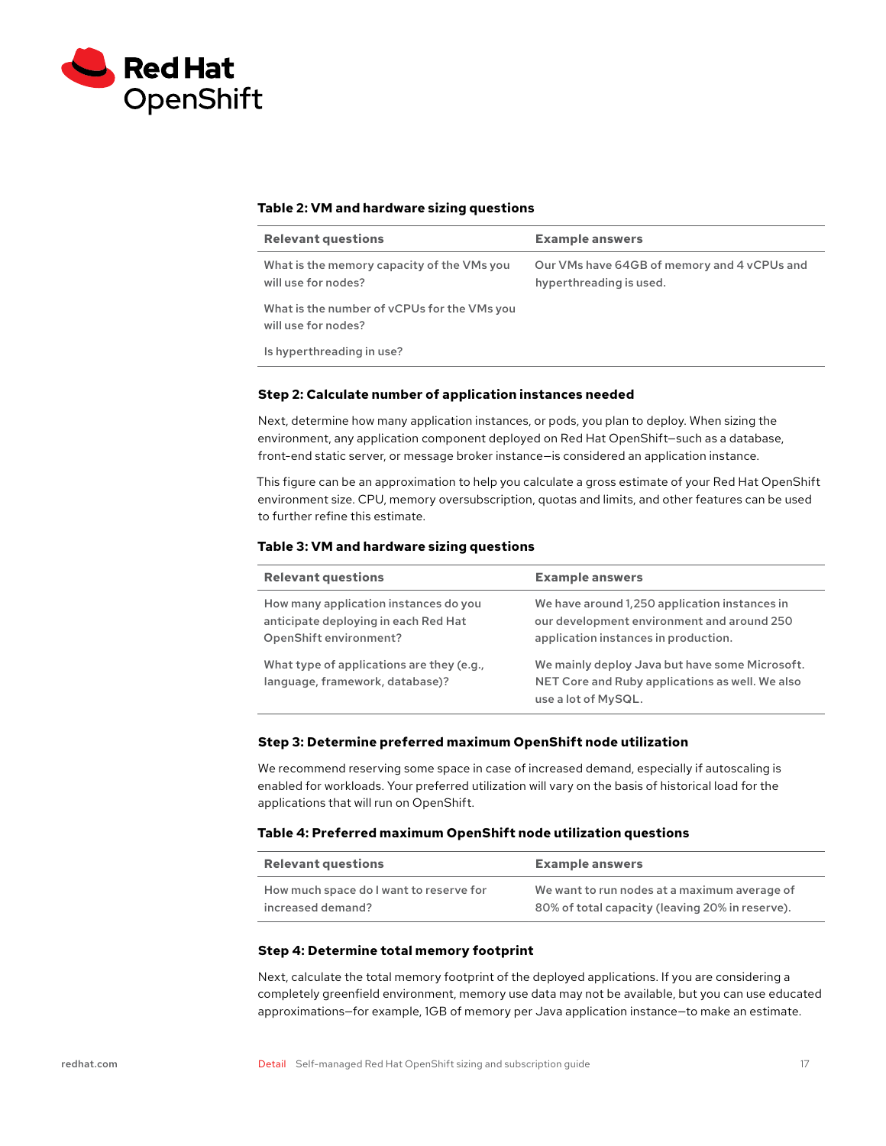<span id="page-16-0"></span>

## **Table 2: VM and hardware sizing questions**

| <b>Relevant questions</b>                                          | <b>Example answers</b>                                                 |
|--------------------------------------------------------------------|------------------------------------------------------------------------|
| What is the memory capacity of the VMs you<br>will use for nodes?  | Our VMs have 64GB of memory and 4 vCPUs and<br>hyperthreading is used. |
| What is the number of vCPUs for the VMs you<br>will use for nodes? |                                                                        |
| Is hyperthreading in use?                                          |                                                                        |

## **Step 2: Calculate number of application instances needed**

Next, determine how many application instances, or pods, you plan to deploy. When sizing the environment, any application component deployed on Red Hat OpenShift—such as a database, front-end static server, or message broker instance—is considered an application instance.

This figure can be an approximation to help you calculate a gross estimate of your Red Hat OpenShift environment size. CPU, memory oversubscription, quotas and limits, and other features can be used to further refine this estimate.

#### **Table 3: VM and hardware sizing questions**

| <b>Relevant questions</b>                                                                               | <b>Example answers</b>                                                                                                              |
|---------------------------------------------------------------------------------------------------------|-------------------------------------------------------------------------------------------------------------------------------------|
| How many application instances do you<br>anticipate deploying in each Red Hat<br>OpenShift environment? | We have around 1,250 application instances in<br>our development environment and around 250<br>application instances in production. |
| What type of applications are they (e.g.,<br>language, framework, database)?                            | We mainly deploy Java but have some Microsoft.<br>NET Core and Ruby applications as well. We also<br>use a lot of MySQL.            |

#### **Step 3: Determine preferred maximum OpenShift node utilization**

We recommend reserving some space in case of increased demand, especially if autoscaling is enabled for workloads. Your preferred utilization will vary on the basis of historical load for the applications that will run on OpenShift.

#### **Table 4: Preferred maximum OpenShift node utilization questions**

| <b>Relevant questions</b>               | <b>Example answers</b>                          |
|-----------------------------------------|-------------------------------------------------|
| How much space do I want to reserve for | We want to run nodes at a maximum average of    |
| increased demand?                       | 80% of total capacity (leaving 20% in reserve). |

#### **Step 4: Determine total memory footprint**

Next, calculate the total memory footprint of the deployed applications. If you are considering a completely greenfield environment, memory use data may not be available, but you can use educated approximations—for example, 1GB of memory per Java application instance—to make an estimate.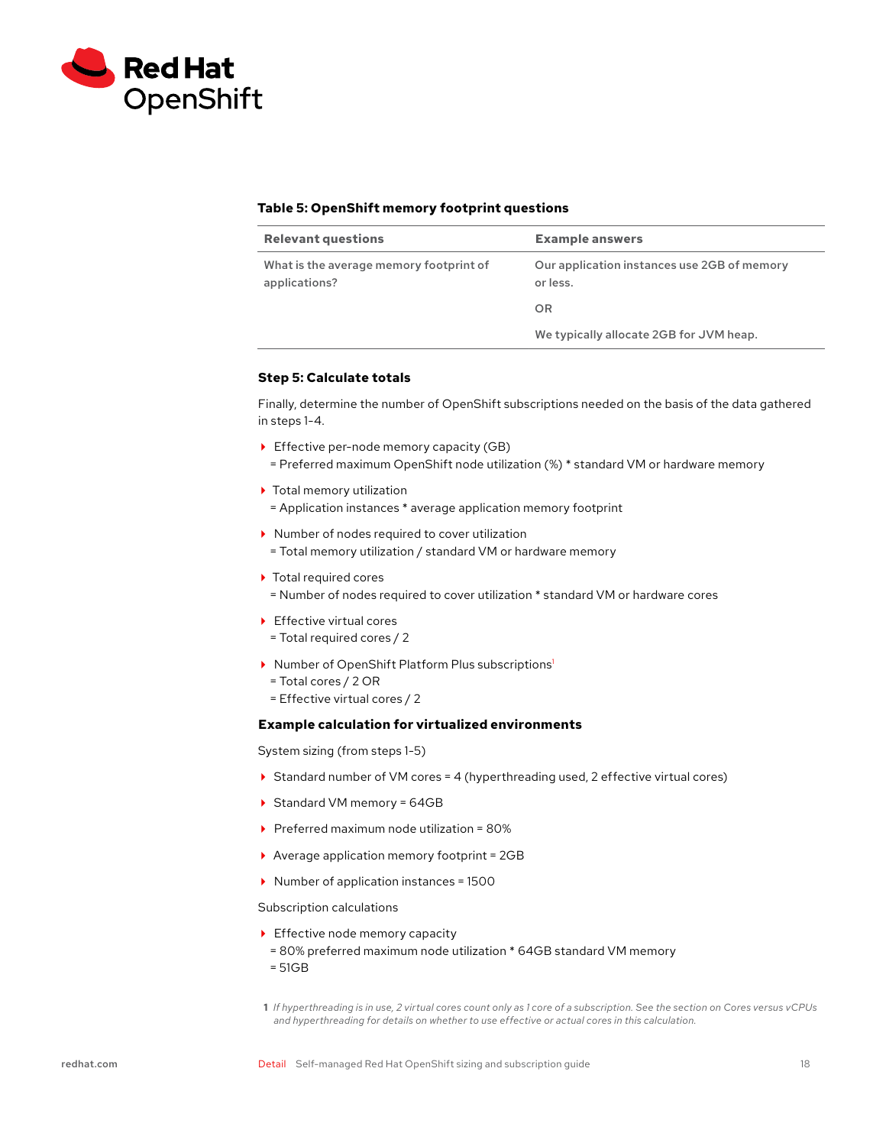<span id="page-17-0"></span>

## **Table 5: OpenShift memory footprint questions**

| <b>Relevant questions</b>                                | <b>Example answers</b>                                  |
|----------------------------------------------------------|---------------------------------------------------------|
| What is the average memory footprint of<br>applications? | Our application instances use 2GB of memory<br>or less. |
|                                                          | OR                                                      |
|                                                          | We typically allocate 2GB for JVM heap.                 |

## **Step 5: Calculate totals**

Finally, determine the number of OpenShift subscriptions needed on the basis of the data gathered in steps 1-4.

- ▶ Effective per-node memory capacity (GB) = Preferred maximum OpenShift node utilization (%) \* standard VM or hardware memory
- ▶ Total memory utilization
- = Application instances \* average application memory footprint
- ▶ Number of nodes required to cover utilization
- = Total memory utilization / standard VM or hardware memory
- ▶ Total required cores
- = Number of nodes required to cover utilization \* standard VM or hardware cores
- ▶ Effective virtual cores
- = Total required cores / 2
- ▶ Number of OpenShift Platform Plus subscriptions<sup>1</sup>
	- = Total cores / 2 OR
- = Effective virtual cores / 2

## **Example calculation for virtualized environments**

System sizing (from steps 1-5)

- ▶ Standard number of VM cores = 4 (hyperthreading used, 2 effective virtual cores)
- ▶ Standard VM memory = 64GB
- $\triangleright$  Preferred maximum node utilization = 80%
- ▶ Average application memory footprint = 2GB
- ▶ Number of application instances = 1500

Subscription calculations

- Effective node memory capacity
- = 80% preferred maximum node utilization \* 64GB standard VM memory = 51GB
- **1** *If hyperthreading is in use, 2 virtual cores count only as 1 core of a subscription. See the section on Cores versus vCPUs and hyperthreading for details on whether to use effective or actual cores in this calculation.*